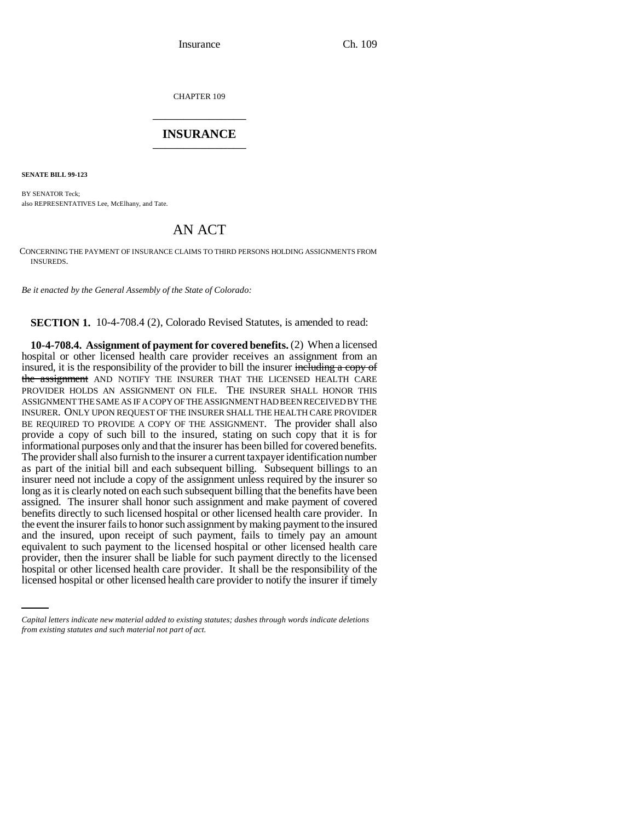CHAPTER 109 \_\_\_\_\_\_\_\_\_\_\_\_\_\_\_

## **INSURANCE** \_\_\_\_\_\_\_\_\_\_\_\_\_\_\_

**SENATE BILL 99-123** 

BY SENATOR Teck; also REPRESENTATIVES Lee, McElhany, and Tate.

## AN ACT

CONCERNING THE PAYMENT OF INSURANCE CLAIMS TO THIRD PERSONS HOLDING ASSIGNMENTS FROM INSUREDS.

*Be it enacted by the General Assembly of the State of Colorado:*

**SECTION 1.** 10-4-708.4 (2), Colorado Revised Statutes, is amended to read:

provider, then the insurer shall be liable for such payment directly to the licensed **10-4-708.4. Assignment of payment for covered benefits.** (2) When a licensed hospital or other licensed health care provider receives an assignment from an insured, it is the responsibility of the provider to bill the insurer including a copy of the assignment AND NOTIFY THE INSURER THAT THE LICENSED HEALTH CARE PROVIDER HOLDS AN ASSIGNMENT ON FILE. THE INSURER SHALL HONOR THIS ASSIGNMENT THE SAME AS IF A COPY OF THE ASSIGNMENT HAD BEEN RECEIVED BY THE INSURER. ONLY UPON REQUEST OF THE INSURER SHALL THE HEALTH CARE PROVIDER BE REQUIRED TO PROVIDE A COPY OF THE ASSIGNMENT. The provider shall also provide a copy of such bill to the insured, stating on such copy that it is for informational purposes only and that the insurer has been billed for covered benefits. The provider shall also furnish to the insurer a current taxpayer identification number as part of the initial bill and each subsequent billing. Subsequent billings to an insurer need not include a copy of the assignment unless required by the insurer so long as it is clearly noted on each such subsequent billing that the benefits have been assigned. The insurer shall honor such assignment and make payment of covered benefits directly to such licensed hospital or other licensed health care provider. In the event the insurer fails to honor such assignment by making payment to the insured and the insured, upon receipt of such payment, fails to timely pay an amount equivalent to such payment to the licensed hospital or other licensed health care hospital or other licensed health care provider. It shall be the responsibility of the licensed hospital or other licensed health care provider to notify the insurer if timely

*Capital letters indicate new material added to existing statutes; dashes through words indicate deletions from existing statutes and such material not part of act.*